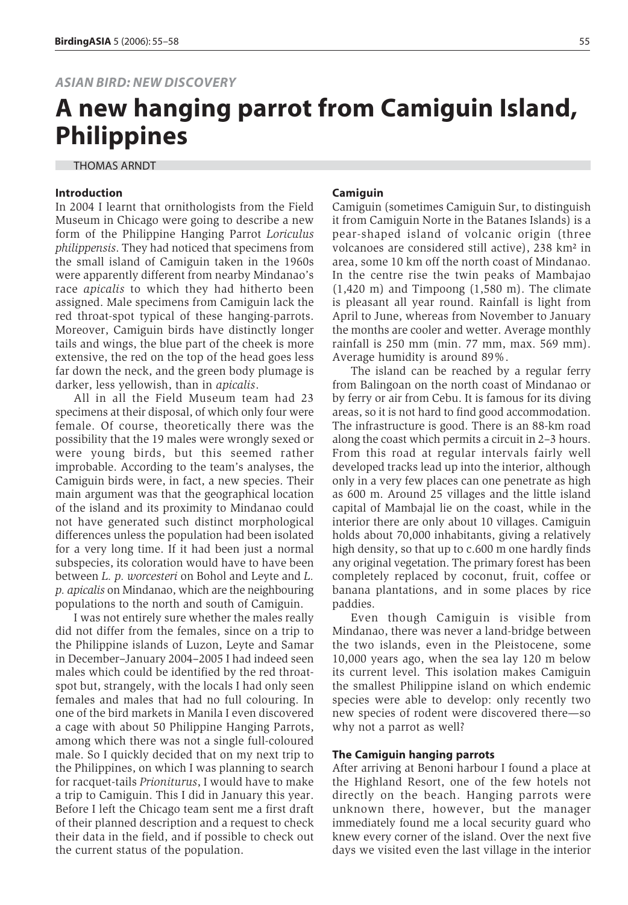# **A new hanging parrot from Camiguin Island, Philippines**

THOMAS ARNDT

#### **Introduction**

In 2004 I learnt that ornithologists from the Field Museum in Chicago were going to describe a new form of the Philippine Hanging Parrot *Loriculus philippensis*. They had noticed that specimens from the small island of Camiguin taken in the 1960s were apparently different from nearby Mindanao's race *apicalis* to which they had hitherto been assigned. Male specimens from Camiguin lack the red throat-spot typical of these hanging-parrots. Moreover, Camiguin birds have distinctly longer tails and wings, the blue part of the cheek is more extensive, the red on the top of the head goes less far down the neck, and the green body plumage is darker, less yellowish, than in *apicalis*.

All in all the Field Museum team had 23 specimens at their disposal, of which only four were female. Of course, theoretically there was the possibility that the 19 males were wrongly sexed or were young birds, but this seemed rather improbable. According to the team's analyses, the Camiguin birds were, in fact, a new species. Their main argument was that the geographical location of the island and its proximity to Mindanao could not have generated such distinct morphological differences unless the population had been isolated for a very long time. If it had been just a normal subspecies, its coloration would have to have been between *L. p. worcesteri* on Bohol and Leyte and *L. p. apicalis* on Mindanao, which are the neighbouring populations to the north and south of Camiguin.

I was not entirely sure whether the males really did not differ from the females, since on a trip to the Philippine islands of Luzon, Leyte and Samar in December–January 2004–2005 I had indeed seen males which could be identified by the red throatspot but, strangely, with the locals I had only seen females and males that had no full colouring. In one of the bird markets in Manila I even discovered a cage with about 50 Philippine Hanging Parrots, among which there was not a single full-coloured male. So I quickly decided that on my next trip to the Philippines, on which I was planning to search for racquet-tails *Prioniturus*, I would have to make a trip to Camiguin. This I did in January this year. Before I left the Chicago team sent me a first draft of their planned description and a request to check their data in the field, and if possible to check out the current status of the population.

#### **Camiguin**

Camiguin (sometimes Camiguin Sur, to distinguish it from Camiguin Norte in the Batanes Islands) is a pear-shaped island of volcanic origin (three volcanoes are considered still active), 238 km² in area, some 10 km off the north coast of Mindanao. In the centre rise the twin peaks of Mambajao (1,420 m) and Timpoong (1,580 m). The climate is pleasant all year round. Rainfall is light from April to June, whereas from November to January the months are cooler and wetter. Average monthly rainfall is 250 mm (min. 77 mm, max. 569 mm). Average humidity is around 89%.

The island can be reached by a regular ferry from Balingoan on the north coast of Mindanao or by ferry or air from Cebu. It is famous for its diving areas, so it is not hard to find good accommodation. The infrastructure is good. There is an 88-km road along the coast which permits a circuit in 2–3 hours. From this road at regular intervals fairly well developed tracks lead up into the interior, although only in a very few places can one penetrate as high as 600 m. Around 25 villages and the little island capital of Mambajal lie on the coast, while in the interior there are only about 10 villages. Camiguin holds about 70,000 inhabitants, giving a relatively high density, so that up to c.600 m one hardly finds any original vegetation. The primary forest has been completely replaced by coconut, fruit, coffee or banana plantations, and in some places by rice paddies.

Even though Camiguin is visible from Mindanao, there was never a land-bridge between the two islands, even in the Pleistocene, some 10,000 years ago, when the sea lay 120 m below its current level. This isolation makes Camiguin the smallest Philippine island on which endemic species were able to develop: only recently two new species of rodent were discovered there—so why not a parrot as well?

#### **The Camiguin hanging parrots**

After arriving at Benoni harbour I found a place at the Highland Resort, one of the few hotels not directly on the beach. Hanging parrots were unknown there, however, but the manager immediately found me a local security guard who knew every corner of the island. Over the next five days we visited even the last village in the interior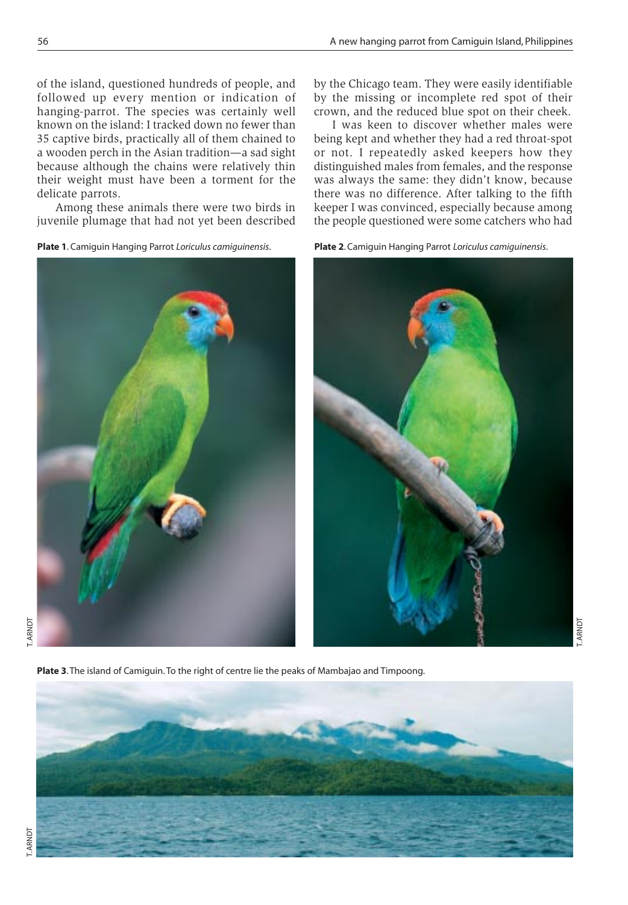of the island, questioned hundreds of people, and followed up every mention or indication of hanging-parrot. The species was certainly well known on the island: I tracked down no fewer than 35 captive birds, practically all of them chained to a wooden perch in the Asian tradition—a sad sight because although the chains were relatively thin their weight must have been a torment for the delicate parrots.

Among these animals there were two birds in juvenile plumage that had not yet been described





I was keen to discover whether males were being kept and whether they had a red throat-spot or not. I repeatedly asked keepers how they distinguished males from females, and the response was always the same: they didn't know, because there was no difference. After talking to the fifth keeper I was convinced, especially because among the people questioned were some catchers who had

T. ARNDT





**Plate 3**. The island of Camiguin. To the right of centre lie the peaks of Mambajao and Timpoong.



ARNDT

**Plate 2**. Camiguin Hanging Parrot *Loriculus camiguinensis*.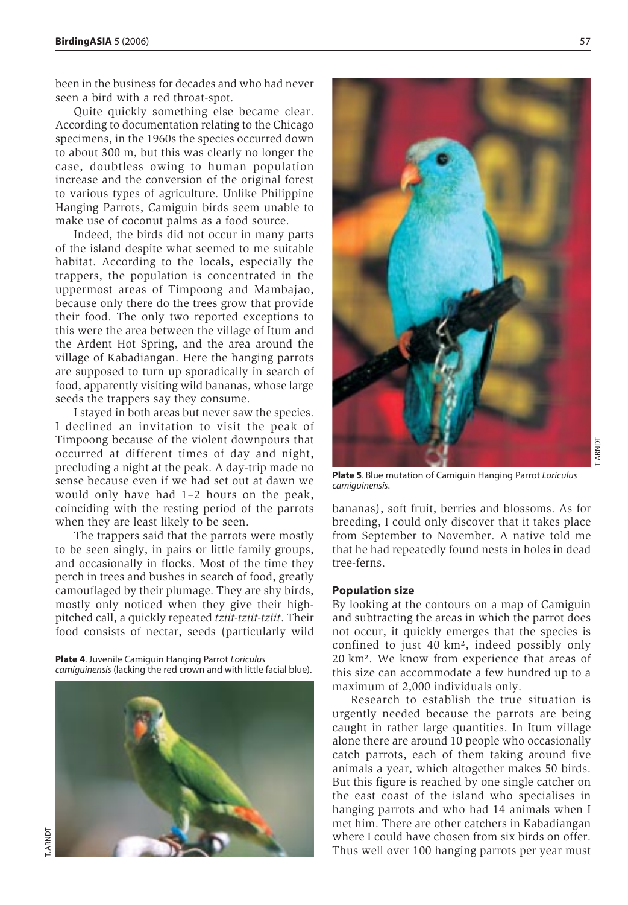been in the business for decades and who had never seen a bird with a red throat-spot.

Quite quickly something else became clear. According to documentation relating to the Chicago specimens, in the 1960s the species occurred down to about 300 m, but this was clearly no longer the case, doubtless owing to human population increase and the conversion of the original forest to various types of agriculture. Unlike Philippine Hanging Parrots, Camiguin birds seem unable to make use of coconut palms as a food source.

Indeed, the birds did not occur in many parts of the island despite what seemed to me suitable habitat. According to the locals, especially the trappers, the population is concentrated in the uppermost areas of Timpoong and Mambajao, because only there do the trees grow that provide their food. The only two reported exceptions to this were the area between the village of Itum and the Ardent Hot Spring, and the area around the village of Kabadiangan. Here the hanging parrots are supposed to turn up sporadically in search of food, apparently visiting wild bananas, whose large seeds the trappers say they consume.

I stayed in both areas but never saw the species. I declined an invitation to visit the peak of Timpoong because of the violent downpours that occurred at different times of day and night, precluding a night at the peak. A day-trip made no sense because even if we had set out at dawn we would only have had 1–2 hours on the peak, coinciding with the resting period of the parrots when they are least likely to be seen.

The trappers said that the parrots were mostly to be seen singly, in pairs or little family groups, and occasionally in flocks. Most of the time they perch in trees and bushes in search of food, greatly camouflaged by their plumage. They are shy birds, mostly only noticed when they give their highpitched call, a quickly repeated *tziit-tziit-tziit*. Their food consists of nectar, seeds (particularly wild

**Plate 4**. Juvenile Camiguin Hanging Parrot *Loriculus camiguinensis* (lacking the red crown and with little facial blue).





**Plate 5**. Blue mutation of Camiguin Hanging Parrot *Loriculus camiguinensis*.

bananas), soft fruit, berries and blossoms. As for breeding, I could only discover that it takes place from September to November. A native told me that he had repeatedly found nests in holes in dead tree-ferns.

### **Population size**

By looking at the contours on a map of Camiguin and subtracting the areas in which the parrot does not occur, it quickly emerges that the species is confined to just 40 km², indeed possibly only 20 km². We know from experience that areas of this size can accommodate a few hundred up to a maximum of 2,000 individuals only.

Research to establish the true situation is urgently needed because the parrots are being caught in rather large quantities. In Itum village alone there are around 10 people who occasionally catch parrots, each of them taking around five animals a year, which altogether makes 50 birds. But this figure is reached by one single catcher on the east coast of the island who specialises in hanging parrots and who had 14 animals when I met him. There are other catchers in Kabadiangan where I could have chosen from six birds on offer. Thus well over 100 hanging parrots per year must